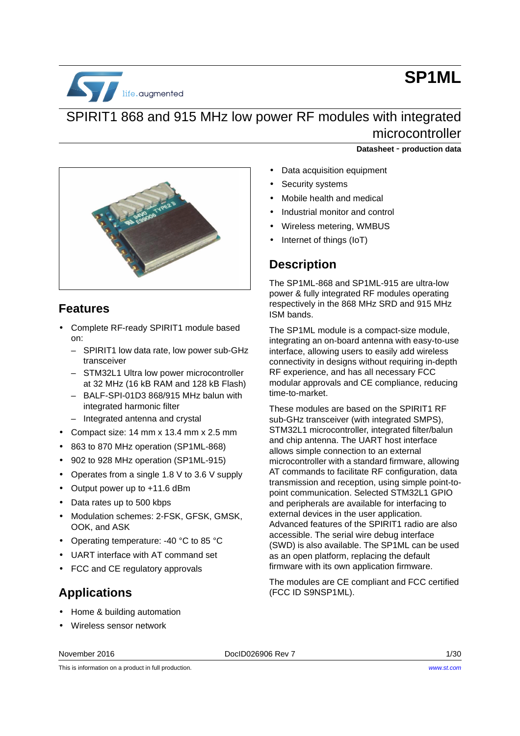

# **SP1ML**

# SPIRIT1 868 and 915 MHz low power RF modules with integrated microcontroller



## **Features**

- Complete RF-ready SPIRIT1 module based on:
	- SPIRIT1 low data rate, low power sub-GHz transceiver
	- STM32L1 Ultra low power microcontroller at 32 MHz (16 kB RAM and 128 kB Flash)
	- BALF-SPI-01D3 868/915 MHz balun with integrated harmonic filter
	- Integrated antenna and crystal
- Compact size: 14 mm x 13.4 mm x 2.5 mm
- 863 to 870 MHz operation (SP1ML-868)
- 902 to 928 MHz operation (SP1ML-915)
- Operates from a single 1.8 V to 3.6 V supply
- Output power up to +11.6 dBm
- Data rates up to 500 kbps
- Modulation schemes: 2-FSK, GFSK, GMSK, OOK, and ASK
- Operating temperature: -40 °C to 85 °C
- UART interface with AT command set
- FCC and CE regulatory approvals

#### **Applications**

- Home & building automation
- Wireless sensor network
- **Datasheet** - **production data**
- Data acquisition equipment
- Security systems
- Mobile health and medical
- Industrial monitor and control
- Wireless metering, WMBUS
- Internet of things (IoT)

## **Description**

The SP1ML-868 and SP1ML-915 are ultra-low power & fully integrated RF modules operating respectively in the 868 MHz SRD and 915 MHz ISM bands.

The SP1ML module is a compact-size module, integrating an on-board antenna with easy-to-use interface, allowing users to easily add wireless connectivity in designs without requiring in-depth RF experience, and has all necessary FCC modular approvals and CE compliance, reducing time-to-market.

These modules are based on the SPIRIT1 RF sub-GHz transceiver (with integrated SMPS), STM32L1 microcontroller, integrated filter/balun and chip antenna. The UART host interface allows simple connection to an external microcontroller with a standard firmware, allowing AT commands to facilitate RF configuration, data transmission and reception, using simple point-topoint communication. Selected STM32L1 GPIO and peripherals are available for interfacing to external devices in the user application. Advanced features of the SPIRIT1 radio are also accessible. The serial wire debug interface (SWD) is also available. The SP1ML can be used as an open platform, replacing the default firmware with its own application firmware.

The modules are CE compliant and FCC certified (FCC ID S9NSP1ML).

November 2016 **DociD026906 Rev 7** 2016 **DociD026906 Rev 7** 2020 1/30

This is information on a product in full production.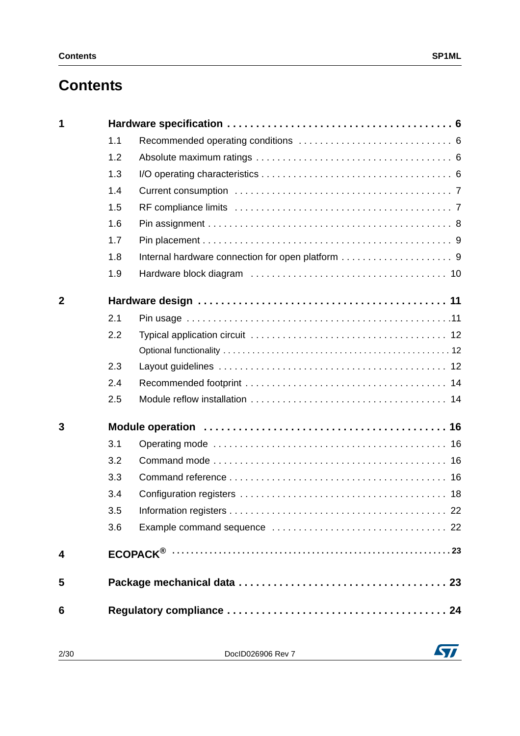# **Contents**

| 1              |     |  |
|----------------|-----|--|
|                | 1.1 |  |
|                | 1.2 |  |
|                | 1.3 |  |
|                | 1.4 |  |
|                | 1.5 |  |
|                | 1.6 |  |
|                | 1.7 |  |
|                | 1.8 |  |
|                | 1.9 |  |
| $\overline{2}$ |     |  |
|                | 2.1 |  |
|                | 2.2 |  |
|                |     |  |
|                | 2.3 |  |
|                | 2.4 |  |
|                | 2.5 |  |
| 3              |     |  |
|                | 3.1 |  |
|                | 3.2 |  |
|                | 3.3 |  |
|                | 3.4 |  |
|                | 3.5 |  |
|                | 3.6 |  |
| 4              |     |  |
| 5              |     |  |
| 6              |     |  |
|                |     |  |

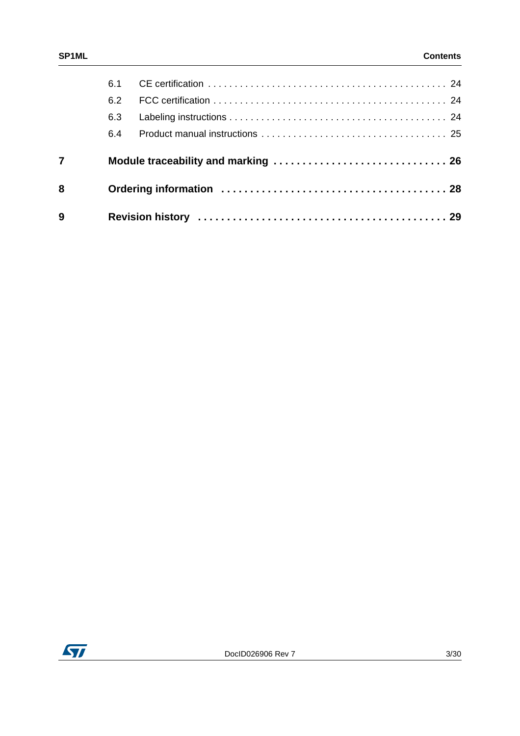|                | 6.1 |  |
|----------------|-----|--|
|                | 6.2 |  |
|                | 6.3 |  |
|                | 6.4 |  |
| $\overline{7}$ |     |  |
| 8              |     |  |
| 9              |     |  |

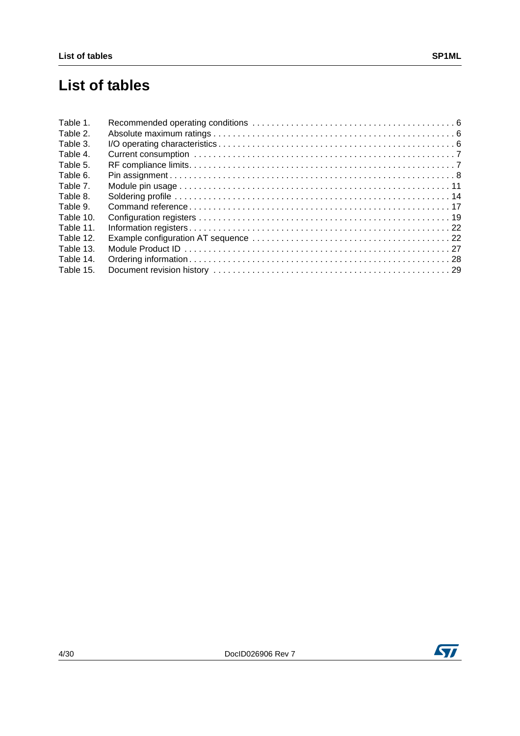# **List of tables**

| Table 1.  |  |
|-----------|--|
| Table 2.  |  |
| Table 3.  |  |
| Table 4.  |  |
| Table 5.  |  |
| Table 6.  |  |
| Table 7.  |  |
| Table 8.  |  |
| Table 9.  |  |
| Table 10. |  |
| Table 11. |  |
| Table 12. |  |
| Table 13. |  |
| Table 14. |  |
| Table 15. |  |

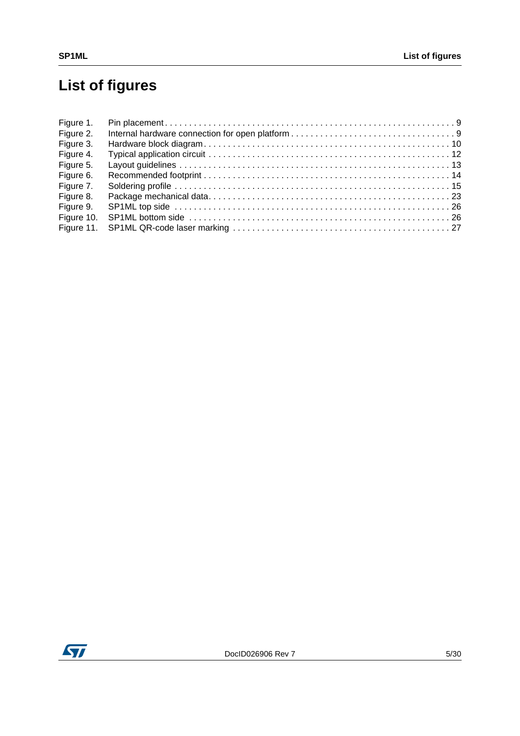# **List of figures**

| Figure 1.  |  |
|------------|--|
| Figure 2.  |  |
| Figure 3.  |  |
| Figure 4.  |  |
| Figure 5.  |  |
| Figure 6.  |  |
| Figure 7.  |  |
| Figure 8.  |  |
| Figure 9.  |  |
| Figure 10. |  |
|            |  |

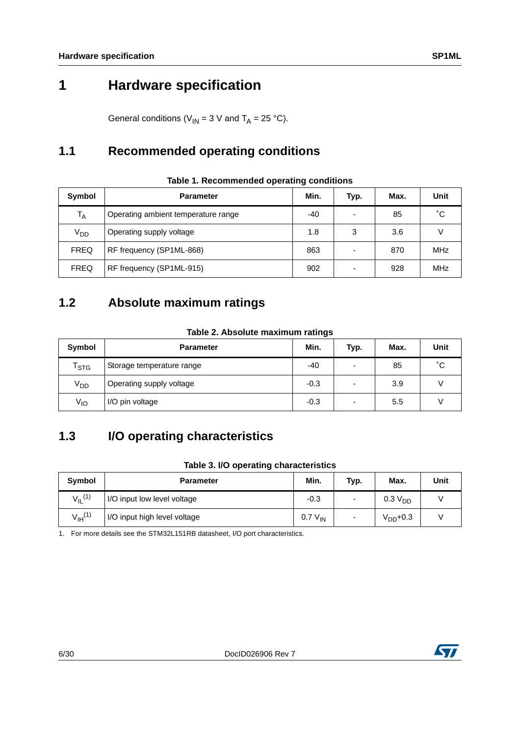# <span id="page-5-0"></span>**1 Hardware specification**

General conditions ( $V_{IN}$  = 3 V and T<sub>A</sub> = 25 °C).

## <span id="page-5-1"></span>**1.1 Recommended operating conditions**

<span id="page-5-4"></span>

| Symbol          | <b>Parameter</b>                    |     | Typ.                     | Max. | Unit |
|-----------------|-------------------------------------|-----|--------------------------|------|------|
| $T_A$           | Operating ambient temperature range | -40 | $\overline{\phantom{a}}$ | 85   | °С   |
| V <sub>DD</sub> | Operating supply voltage            | 1.8 | 3                        | 3.6  |      |
| <b>FREQ</b>     | RF frequency (SP1ML-868)            | 863 | $\overline{\phantom{a}}$ | 870  | MHz  |
| <b>FREQ</b>     | RF frequency (SP1ML-915)            | 902 | $\overline{\phantom{a}}$ | 928  | MHz  |

#### **Table 1. Recommended operating conditions**

#### <span id="page-5-2"></span>**1.2 Absolute maximum ratings**

| Table 2. Absolute maximum ratings |  |
|-----------------------------------|--|
|                                   |  |

<span id="page-5-5"></span>

| Symbol                      | <b>Parameter</b>          | Min.   | Typ.                     | Max. | Unit |
|-----------------------------|---------------------------|--------|--------------------------|------|------|
| $\mathsf{T}_{\textsf{STG}}$ | Storage temperature range | -40    | $\overline{\phantom{0}}$ | 85   | °С   |
| V <sub>DD</sub>             | Operating supply voltage  | $-0.3$ | $\overline{\phantom{0}}$ | 3.9  |      |
| $V_{IO}$                    | I/O pin voltage           | $-0.3$ | $\overline{\phantom{0}}$ | 5.5  |      |

## <span id="page-5-3"></span>**1.3 I/O operating characteristics**

#### **Table 3. I/O operating characteristics**

<span id="page-5-6"></span>

| Symbol                  | <b>Parameter</b>             | Min.         | Typ.                     | Max.                | Unit |
|-------------------------|------------------------------|--------------|--------------------------|---------------------|------|
| $V_{IL}$ <sup>(1)</sup> | I/O input low level voltage  | $-0.3$       | $\overline{\phantom{0}}$ | 0.3 V <sub>DD</sub> |      |
| $V_{\text{IH}}^{(1)}$   | I/O input high level voltage | $0.7 V_{IN}$ |                          | $VDD+0.3$           |      |

1. For more details see the STM32L151RB datasheet, I/O port characteristics.

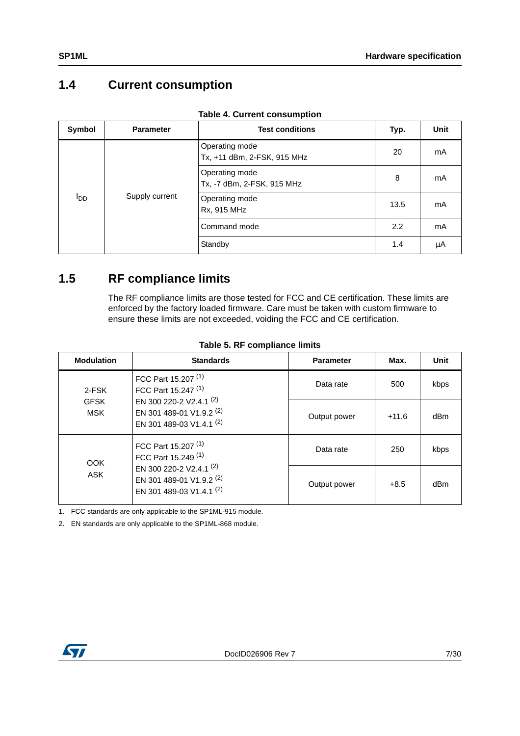## <span id="page-6-0"></span>**1.4 Current consumption**

<span id="page-6-2"></span>

| Symbol     | <b>Parameter</b>                                                                                               | $10010 + 100110$<br><b>Test conditions</b> | Typ. | <b>Unit</b> |
|------------|----------------------------------------------------------------------------------------------------------------|--------------------------------------------|------|-------------|
| <b>PDD</b> | Operating mode<br>Operating mode<br>Supply current<br>Operating mode<br>Rx, 915 MHz<br>Command mode<br>Standby | Tx, +11 dBm, 2-FSK, 915 MHz                | 20   | mA          |
|            |                                                                                                                | Tx, -7 dBm, 2-FSK, 915 MHz                 | 8    | mA          |
|            |                                                                                                                |                                            | 13.5 | mA          |
|            |                                                                                                                |                                            | 2.2  | mA          |
|            |                                                                                                                |                                            | 1.4  | μA          |

| <b>Table 4. Current consumption</b> |  |  |  |
|-------------------------------------|--|--|--|
|-------------------------------------|--|--|--|

## <span id="page-6-1"></span>**1.5 RF compliance limits**

The RF compliance limits are those tested for FCC and CE certification. These limits are enforced by the factory loaded firmware. Care must be taken with custom firmware to ensure these limits are not exceeded, voiding the FCC and CE certification.

<span id="page-6-3"></span>

| <b>Modulation</b>         | <b>Standards</b>                                                                                                                                    | <b>Parameter</b> | Max.    | Unit |
|---------------------------|-----------------------------------------------------------------------------------------------------------------------------------------------------|------------------|---------|------|
| 2-FSK                     | FCC Part 15.207 <sup>(1)</sup><br>FCC Part 15.247 <sup>(1)</sup>                                                                                    | Data rate        | 500     | kbps |
| <b>GFSK</b><br><b>MSK</b> | EN 300 220-2 V2.4.1 (2)<br>EN 301 489-01 V1.9.2 (2)<br>EN 301 489-03 V1.4.1 (2)                                                                     | Output power     | $+11.6$ | dBm  |
| <b>OOK</b>                | FCC Part 15.207 <sup>(1)</sup><br>FCC Part 15.249 <sup>(1)</sup><br>EN 300 220-2 V2.4.1 (2)<br>EN 301 489-01 V1.9.2 (2)<br>EN 301 489-03 V1.4.1 (2) | Data rate        | 250     | kbps |
| <b>ASK</b>                |                                                                                                                                                     | Output power     | $+8.5$  | dBm  |

**Table 5. RF compliance limits**

1. FCC standards are only applicable to the SP1ML-915 module.

2. EN standards are only applicable to the SP1ML-868 module.

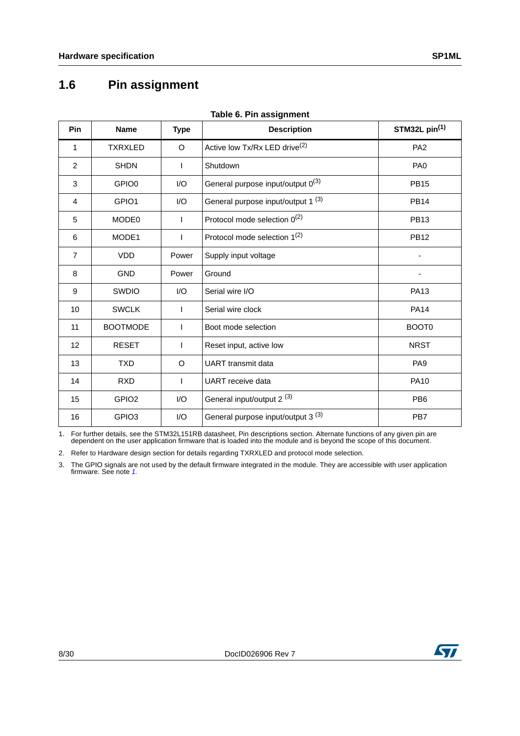## <span id="page-7-0"></span>**1.6 Pin assignment**

<span id="page-7-1"></span>

| Pin            | <b>Name</b>       | <b>Type</b> | <b>Description</b>                            | STM32L pin <sup>(1)</sup> |  |
|----------------|-------------------|-------------|-----------------------------------------------|---------------------------|--|
| 1              | <b>TXRXLED</b>    | O           | Active low Tx/Rx LED drive <sup>(2)</sup>     | PA <sub>2</sub>           |  |
| $\overline{2}$ | <b>SHDN</b>       | I.          | Shutdown                                      | PA <sub>0</sub>           |  |
| 3              | GPIO0             | I/O         | General purpose input/output 0(3)             | <b>PB15</b>               |  |
| 4              | GPIO1             | I/O         | General purpose input/output 1 <sup>(3)</sup> | <b>PB14</b>               |  |
| 5              | MODE0             | T           | Protocol mode selection $0^{(2)}$             | <b>PB13</b>               |  |
| 6              | MODE1             |             | Protocol mode selection 1 <sup>(2)</sup>      | <b>PB12</b>               |  |
| $\overline{7}$ | <b>VDD</b>        | Power       | Supply input voltage                          |                           |  |
| 8              | <b>GND</b>        | Power       | Ground                                        |                           |  |
| 9              | <b>SWDIO</b>      | 1/O         | Serial wire I/O                               | <b>PA13</b>               |  |
| 10             | <b>SWCLK</b>      | ı           | Serial wire clock                             | <b>PA14</b>               |  |
| 11             | <b>BOOTMODE</b>   | -1          | Boot mode selection                           | BOOT <sub>0</sub>         |  |
| 12             | <b>RESET</b>      |             | Reset input, active low                       | <b>NRST</b>               |  |
| 13             | <b>TXD</b>        | O           | <b>UART</b> transmit data                     | PA <sub>9</sub>           |  |
| 14             | <b>RXD</b>        | L           | <b>UART</b> receive data                      | <b>PA10</b>               |  |
| 15             | GPIO <sub>2</sub> | I/O         | General input/output 2 <sup>(3)</sup>         | PB <sub>6</sub>           |  |
| 16             | GPIO <sub>3</sub> | I/O         | General purpose input/output 3 <sup>(3)</sup> | PB7                       |  |

**Table 6. Pin assignment**

1. For further details, see the STM32L151RB datasheet, Pin descriptions section. Alternate functions of any given pin are<br>dependent on the user application firmware that is loaded into the module and is beyond the scope of

2. Refer to Hardware design section for details regarding TXRXLED and protocol mode selection.

3. The GPIO signals are not used by the default firmware integrated in the module. They are accessible with user application firmware. See note 1.



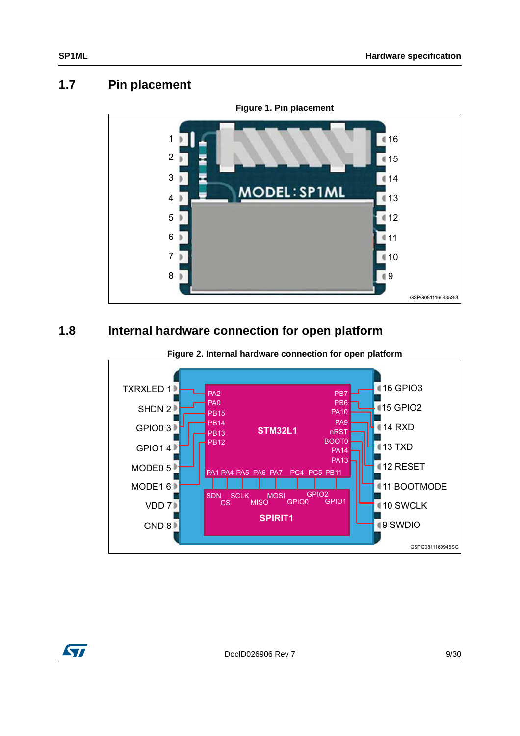#### <span id="page-8-0"></span>**1.7 Pin placement**

<span id="page-8-2"></span>

## <span id="page-8-1"></span>**1.8 Internal hardware connection for open platform**

<span id="page-8-3"></span>

**Figure 2. Internal hardware connection for open platform**

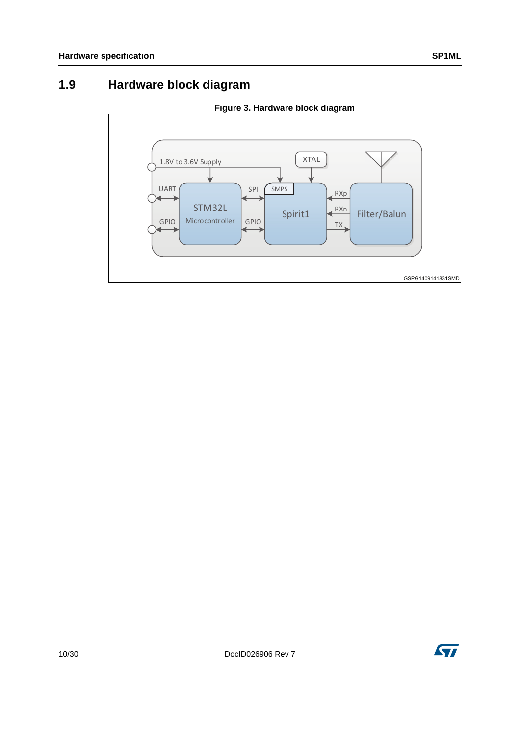## <span id="page-9-0"></span>**1.9 Hardware block diagram**

<span id="page-9-1"></span>

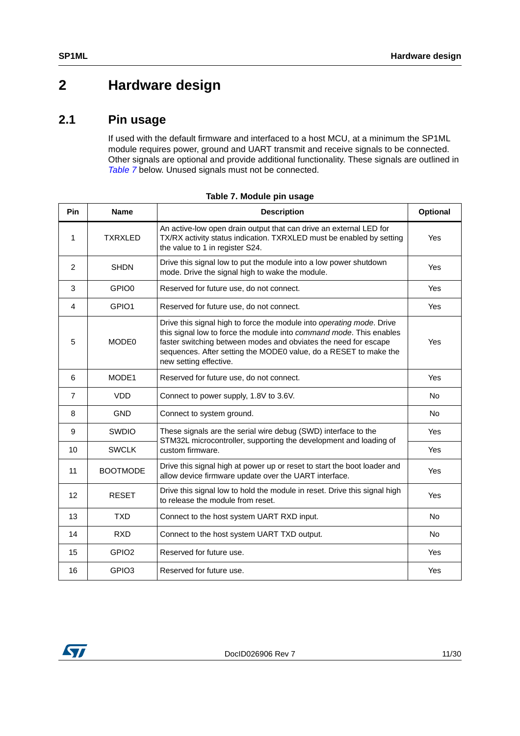# <span id="page-10-0"></span>**2 Hardware design**

#### <span id="page-10-1"></span>**2.1 Pin usage**

If used with the default firmware and interfaced to a host MCU, at a minimum the SP1ML module requires power, ground and UART transmit and receive signals to be connected. Other signals are optional and provide additional functionality. These signals are outlined in [Table 7](#page-10-2) below. Unused signals must not be connected.

<span id="page-10-2"></span>

| Pin            | <b>Name</b>       | <b>Description</b>                                                                                                                                                                                                                                                                                            | <b>Optional</b> |
|----------------|-------------------|---------------------------------------------------------------------------------------------------------------------------------------------------------------------------------------------------------------------------------------------------------------------------------------------------------------|-----------------|
| 1              | <b>TXRXLED</b>    | An active-low open drain output that can drive an external LED for<br>TX/RX activity status indication. TXRXLED must be enabled by setting<br>the value to 1 in register S24.                                                                                                                                 | Yes             |
| $\overline{2}$ | <b>SHDN</b>       | Drive this signal low to put the module into a low power shutdown<br>mode. Drive the signal high to wake the module.                                                                                                                                                                                          | Yes             |
| 3              | GPIO <sub>0</sub> | Reserved for future use, do not connect.                                                                                                                                                                                                                                                                      | Yes             |
| 4              | GPIO <sub>1</sub> | Reserved for future use, do not connect.                                                                                                                                                                                                                                                                      | Yes             |
| 5              | MODE <sub>0</sub> | Drive this signal high to force the module into operating mode. Drive<br>this signal low to force the module into command mode. This enables<br>faster switching between modes and obviates the need for escape<br>sequences. After setting the MODE0 value, do a RESET to make the<br>new setting effective. | Yes             |
| 6              | MODE1             | Reserved for future use, do not connect.                                                                                                                                                                                                                                                                      | Yes             |
| $\overline{7}$ | <b>VDD</b>        | Connect to power supply, 1.8V to 3.6V.                                                                                                                                                                                                                                                                        | <b>No</b>       |
| 8              | <b>GND</b>        | Connect to system ground.                                                                                                                                                                                                                                                                                     | <b>No</b>       |
| 9              | <b>SWDIO</b>      | These signals are the serial wire debug (SWD) interface to the<br>STM32L microcontroller, supporting the development and loading of                                                                                                                                                                           | Yes             |
| 10             | <b>SWCLK</b>      | custom firmware.                                                                                                                                                                                                                                                                                              | Yes             |
| 11             | <b>BOOTMODE</b>   | Drive this signal high at power up or reset to start the boot loader and<br>allow device firmware update over the UART interface.                                                                                                                                                                             | Yes             |
| 12             | <b>RESET</b>      | Drive this signal low to hold the module in reset. Drive this signal high<br>to release the module from reset.                                                                                                                                                                                                | Yes             |
| 13             | <b>TXD</b>        | Connect to the host system UART RXD input.                                                                                                                                                                                                                                                                    | <b>No</b>       |
| 14             | <b>RXD</b>        | Connect to the host system UART TXD output.                                                                                                                                                                                                                                                                   | <b>No</b>       |
| 15             | GPIO <sub>2</sub> | Reserved for future use.                                                                                                                                                                                                                                                                                      | Yes             |
| 16             | GPIO <sub>3</sub> | Reserved for future use.                                                                                                                                                                                                                                                                                      | Yes             |

|  | Table 7. Module pin usage |  |
|--|---------------------------|--|
|  |                           |  |

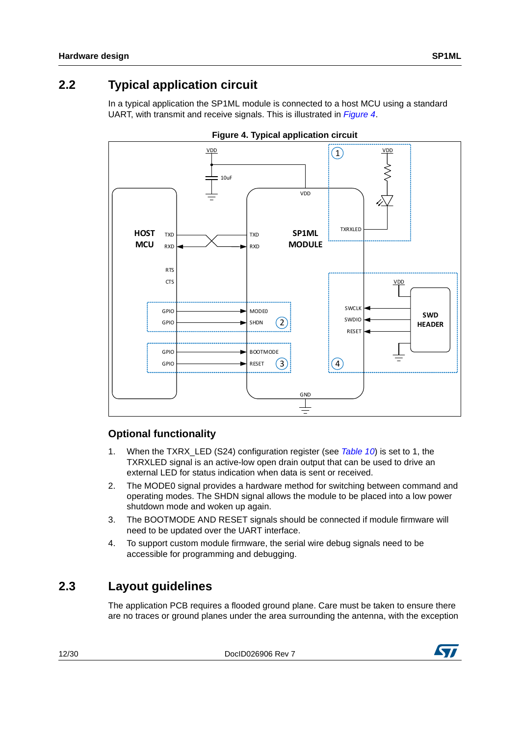## <span id="page-11-0"></span>**2.2 Typical application circuit**

In a typical application the SP1ML module is connected to a host MCU using a standard UART, with transmit and receive signals. This is illustrated in *[Figure 4](#page-11-3)*.

<span id="page-11-3"></span>



#### <span id="page-11-1"></span>**Optional functionality**

- 1. When the TXRX\_LED (S24) configuration register (see [Table 10](#page-18-0)) is set to 1, the TXRXLED signal is an active-low open drain output that can be used to drive an external LED for status indication when data is sent or received.
- 2. The MODE0 signal provides a hardware method for switching between command and operating modes. The SHDN signal allows the module to be placed into a low power shutdown mode and woken up again.
- 3. The BOOTMODE AND RESET signals should be connected if module firmware will need to be updated over the UART interface.
- 4. To support custom module firmware, the serial wire debug signals need to be accessible for programming and debugging.

#### <span id="page-11-2"></span>**2.3 Layout guidelines**

The application PCB requires a flooded ground plane. Care must be taken to ensure there are no traces or ground planes under the area surrounding the antenna, with the exception

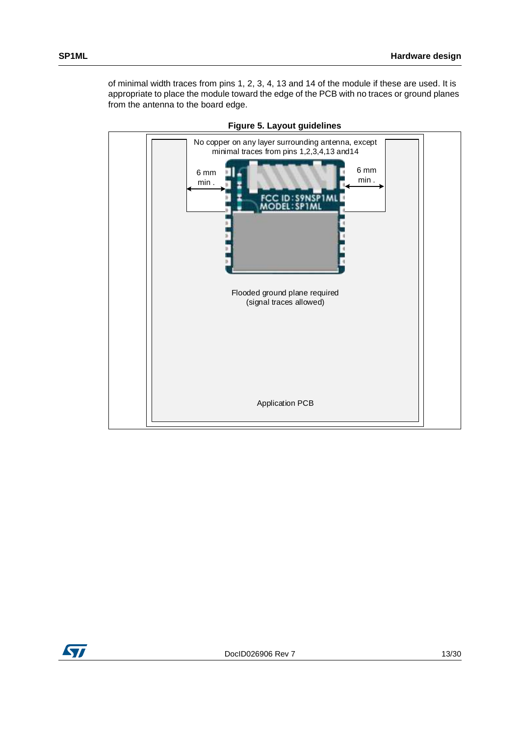of minimal width traces from pins 1, 2, 3, 4, 13 and 14 of the module if these are used. It is appropriate to place the module toward the edge of the PCB with no traces or ground planes from the antenna to the board edge.

<span id="page-12-0"></span>

**Figure 5. Layout guidelines**

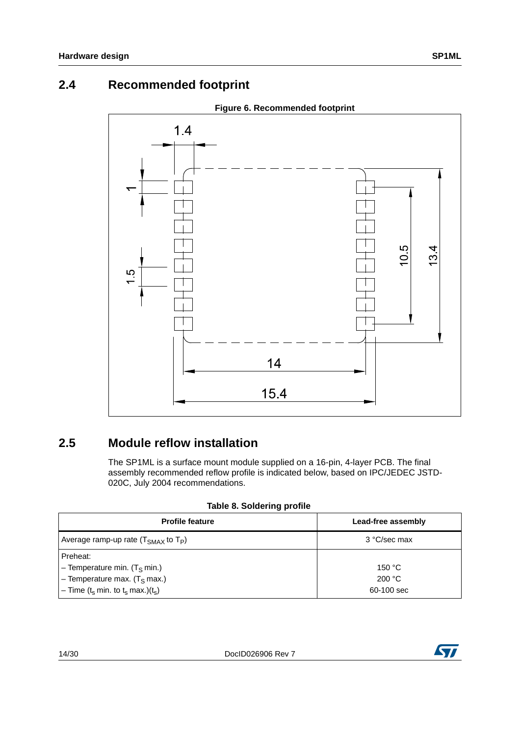#### <span id="page-13-0"></span>**2.4 Recommended footprint**

<span id="page-13-3"></span>

#### <span id="page-13-1"></span>**2.5 Module reflow installation**

The SP1ML is a surface mount module supplied on a 16-pin, 4-layer PCB. The final assembly recommended reflow profile is indicated below, based on IPC/JEDEC JSTD-020C, July 2004 recommendations.

|  | Table 8. Soldering profile |  |
|--|----------------------------|--|
|  |                            |  |

<span id="page-13-2"></span>

| <b>Profile feature</b>                                                 | Lead-free assembly |
|------------------------------------------------------------------------|--------------------|
| Average ramp-up rate $(TSMAX$ to $TP)$                                 | 3 °C/sec max       |
| Preheat:                                                               |                    |
| $-$ Temperature min. (T <sub>S</sub> min.)                             | 150 $\degree$ C    |
| - Temperature max. $(T_S \text{ max.})$                                | 200 °C             |
| $-$ Time (t <sub>s</sub> min. to t <sub>s</sub> max.)(t <sub>s</sub> ) | 60-100 sec         |

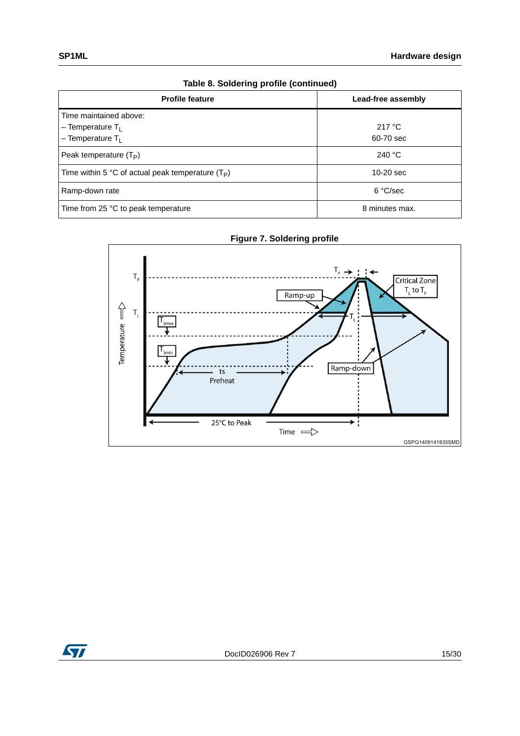| Table 8. Soldering profile (continued)              |                    |  |
|-----------------------------------------------------|--------------------|--|
| <b>Profile feature</b>                              | Lead-free assembly |  |
| Time maintained above:                              |                    |  |
| $-$ Temperature T <sub>1</sub>                      | 217 °C             |  |
| $-$ Temperature T <sub>1</sub>                      | 60-70 sec          |  |
| Peak temperature $(T_P)$                            | 240 $^{\circ}$ C   |  |
| Time within 5 °C of actual peak temperature $(T_P)$ | $10-20$ sec        |  |
| Ramp-down rate                                      | 6 °C/sec           |  |
| Time from 25 °C to peak temperature                 | 8 minutes max.     |  |



<span id="page-14-0"></span>

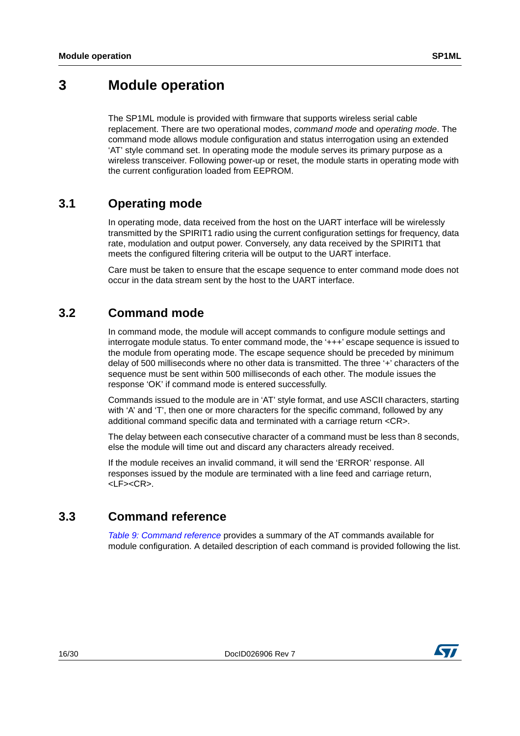## <span id="page-15-0"></span>**3 Module operation**

The SP1ML module is provided with firmware that supports wireless serial cable replacement. There are two operational modes, command mode and operating mode. The command mode allows module configuration and status interrogation using an extended 'AT' style command set. In operating mode the module serves its primary purpose as a wireless transceiver. Following power-up or reset, the module starts in operating mode with the current configuration loaded from EEPROM.

#### <span id="page-15-1"></span>**3.1 Operating mode**

In operating mode, data received from the host on the UART interface will be wirelessly transmitted by the SPIRIT1 radio using the current configuration settings for frequency, data rate, modulation and output power. Conversely, any data received by the SPIRIT1 that meets the configured filtering criteria will be output to the UART interface.

Care must be taken to ensure that the escape sequence to enter command mode does not occur in the data stream sent by the host to the UART interface.

#### <span id="page-15-2"></span>**3.2 Command mode**

In command mode, the module will accept commands to configure module settings and interrogate module status. To enter command mode, the '+++' escape sequence is issued to the module from operating mode. The escape sequence should be preceded by minimum delay of 500 milliseconds where no other data is transmitted. The three '+' characters of the sequence must be sent within 500 milliseconds of each other. The module issues the response 'OK' if command mode is entered successfully.

Commands issued to the module are in 'AT' style format, and use ASCII characters, starting with 'A' and 'T', then one or more characters for the specific command, followed by any additional command specific data and terminated with a carriage return <CR>.

The delay between each consecutive character of a command must be less than 8 seconds, else the module will time out and discard any characters already received.

If the module receives an invalid command, it will send the 'ERROR' response. All responses issued by the module are terminated with a line feed and carriage return, <LF><CR>.

#### <span id="page-15-3"></span>**3.3 Command reference**

[Table 9: Command reference](#page-16-0) provides a summary of the AT commands available for module configuration. A detailed description of each command is provided following the list.

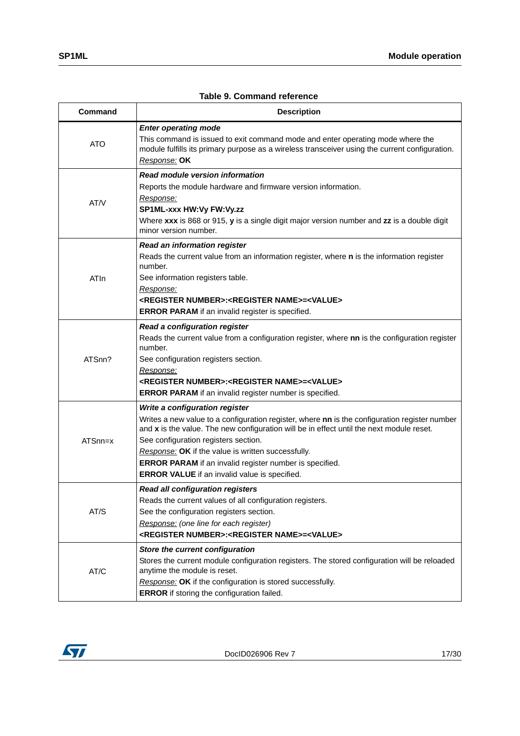<span id="page-16-0"></span>

| Command    | <b>Description</b>                                                                                                                                                                                                                                                                                                                                                                                                                           |  |  |
|------------|----------------------------------------------------------------------------------------------------------------------------------------------------------------------------------------------------------------------------------------------------------------------------------------------------------------------------------------------------------------------------------------------------------------------------------------------|--|--|
| <b>ATO</b> | <b>Enter operating mode</b><br>This command is issued to exit command mode and enter operating mode where the<br>module fulfills its primary purpose as a wireless transceiver using the current configuration.<br>Response: OK                                                                                                                                                                                                              |  |  |
| AT/V       | Read module version information<br>Reports the module hardware and firmware version information.<br>Response:<br>SP1ML-xxx HW:Vy FW:Vy.zz<br>Where xxx is 868 or 915, y is a single digit major version number and zz is a double digit<br>minor version number.                                                                                                                                                                             |  |  |
| ATIn       | Read an information register<br>Reads the current value from an information register, where n is the information register<br>number.<br>See information registers table.<br>Response:<br><register number="">:<register name="">=<value><br/><b>ERROR PARAM</b> if an invalid register is specified.</value></register></register>                                                                                                           |  |  |
| ATSnn?     | Read a configuration register<br>Reads the current value from a configuration register, where nn is the configuration register<br>number.<br>See configuration registers section.<br>Response:<br><register number="">:<register name="">=<value><br/><b>ERROR PARAM</b> if an invalid register number is specified.</value></register></register>                                                                                           |  |  |
| ATSnn=x    | Write a configuration register<br>Writes a new value to a configuration register, where nn is the configuration register number<br>and x is the value. The new configuration will be in effect until the next module reset.<br>See configuration registers section.<br>Response: OK if the value is written successfully.<br>ERROR PARAM if an invalid register number is specified.<br><b>ERROR VALUE</b> if an invalid value is specified. |  |  |
| AT/S       | <b>Read all configuration registers</b><br>Reads the current values of all configuration registers.<br>See the configuration registers section.<br>Response: (one line for each register)<br><register number="">:<register name="">=<value></value></register></register>                                                                                                                                                                   |  |  |
| AT/C       | Store the current configuration<br>Stores the current module configuration registers. The stored configuration will be reloaded<br>anytime the module is reset.<br>Response: OK if the configuration is stored successfully.<br><b>ERROR</b> if storing the configuration failed.                                                                                                                                                            |  |  |

#### **Table 9. Command reference**

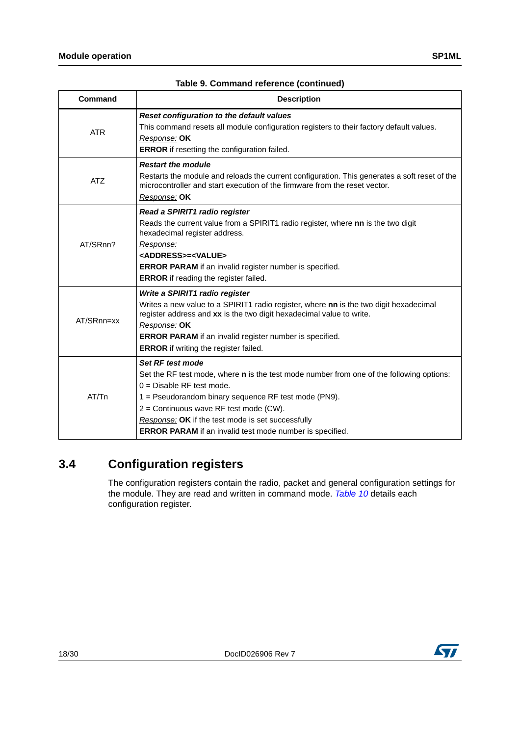| <b>Command</b> | <b>Description</b>                                                                                                                                                                                                                                                                                                                                                    |
|----------------|-----------------------------------------------------------------------------------------------------------------------------------------------------------------------------------------------------------------------------------------------------------------------------------------------------------------------------------------------------------------------|
| <b>ATR</b>     | Reset configuration to the default values<br>This command resets all module configuration registers to their factory default values.<br>Response: OK<br><b>ERROR</b> if resetting the configuration failed.                                                                                                                                                           |
| <b>ATZ</b>     | <b>Restart the module</b><br>Restarts the module and reloads the current configuration. This generates a soft reset of the<br>microcontroller and start execution of the firmware from the reset vector.<br>Response: OK                                                                                                                                              |
| AT/SRnn?       | Read a SPIRIT1 radio register<br>Reads the current value from a SPIRIT1 radio register, where nn is the two digit<br>hexadecimal register address.<br><u>Response:</u><br><address>=<value><br/>ERROR PARAM if an invalid register number is specified.<br/><b>ERROR</b> if reading the register failed.</value></address>                                            |
| AT/SRnn=xx     | Write a SPIRIT1 radio register<br>Writes a new value to a SPIRIT1 radio register, where nn is the two digit hexadecimal<br>register address and xx is the two digit hexadecimal value to write.<br>Response: OK<br><b>ERROR PARAM</b> if an invalid register number is specified.<br><b>ERROR</b> if writing the register failed.                                     |
| AT/Tn          | Set RF test mode<br>Set the RF test mode, where <b>n</b> is the test mode number from one of the following options:<br>$0 =$ Disable RF test mode.<br>1 = Pseudorandom binary sequence RF test mode (PN9).<br>2 = Continuous wave RF test mode (CW).<br>Response: OK if the test mode is set successfully<br>ERROR PARAM if an invalid test mode number is specified. |

#### **Table 9. Command reference (continued)**

#### <span id="page-17-0"></span>**3.4 Configuration registers**

The configuration registers contain the radio, packet and general configuration settings for the module. They are read and written in command mode. [Table 10](#page-18-0) details each configuration register.



## ST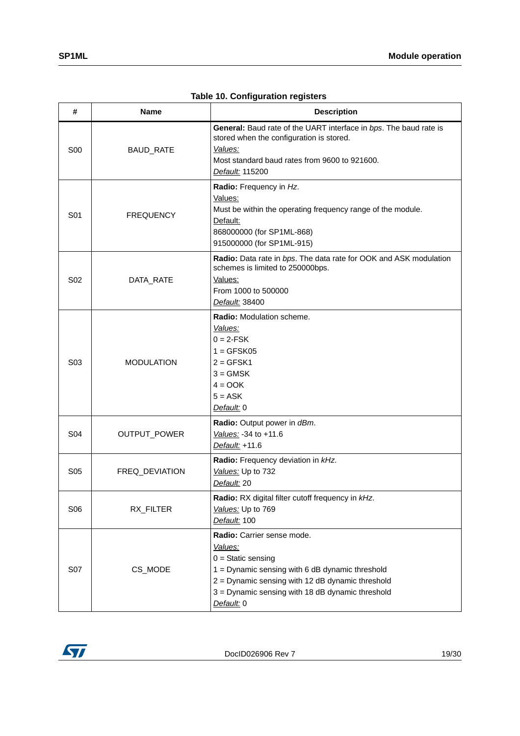<span id="page-18-0"></span>

| #               | Name              | <b>Description</b>                                                                                                                                                                                                                     |
|-----------------|-------------------|----------------------------------------------------------------------------------------------------------------------------------------------------------------------------------------------------------------------------------------|
| <b>S00</b>      | BAUD_RATE         | General: Baud rate of the UART interface in bps. The baud rate is<br>stored when the configuration is stored.<br>Values:<br>Most standard baud rates from 9600 to 921600.<br>Default: 115200                                           |
| S01             | <b>FREQUENCY</b>  | Radio: Frequency in Hz.<br>Values:<br>Must be within the operating frequency range of the module.<br>Default:<br>868000000 (for SP1ML-868)<br>915000000 (for SP1ML-915)                                                                |
| S <sub>02</sub> | DATA_RATE         | Radio: Data rate in bps. The data rate for OOK and ASK modulation<br>schemes is limited to 250000bps.<br>Values:<br>From 1000 to 500000<br>Default: 38400                                                                              |
| S <sub>03</sub> | <b>MODULATION</b> | Radio: Modulation scheme.<br>Values:<br>$0 = 2-FSK$<br>$1 = GFSK05$<br>$2 = GFSK1$<br>$3 =$ GMSK<br>$4 = OOK$<br>$5 = ASK$<br>Default: 0                                                                                               |
| S04             | OUTPUT_POWER      | Radio: Output power in dBm.<br>Values: -34 to +11.6<br>Default: +11.6                                                                                                                                                                  |
| S <sub>05</sub> | FREQ_DEVIATION    | Radio: Frequency deviation in kHz.<br>Values: Up to 732<br>Default: 20                                                                                                                                                                 |
| S06             | RX_FILTER         | Radio: RX digital filter cutoff frequency in kHz.<br>Values: Up to 769<br>Default: 100                                                                                                                                                 |
| S07             | CS_MODE           | Radio: Carrier sense mode.<br>Values:<br>$0 =$ Static sensing<br>1 = Dynamic sensing with 6 dB dynamic threshold<br>2 = Dynamic sensing with 12 dB dynamic threshold<br>3 = Dynamic sensing with 18 dB dynamic threshold<br>Default: 0 |

**Table 10. Configuration registers**

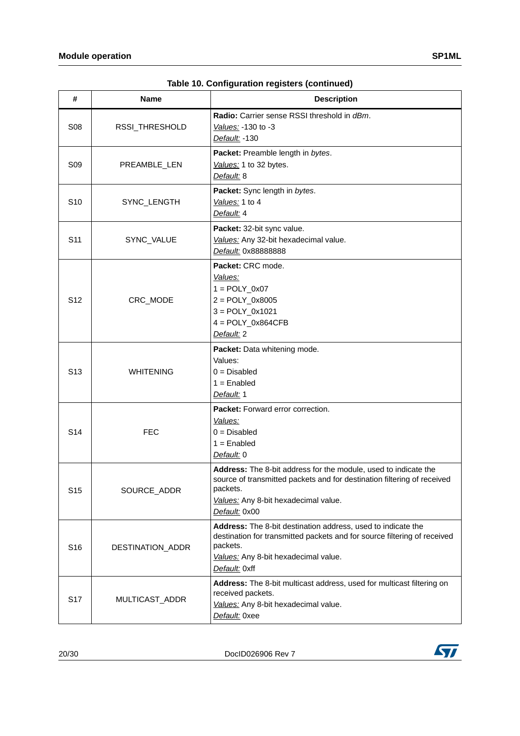| #               | <b>Name</b>      | <b>Description</b>                                                                                                                                                                                              |
|-----------------|------------------|-----------------------------------------------------------------------------------------------------------------------------------------------------------------------------------------------------------------|
| <b>S08</b>      | RSSI_THRESHOLD   | Radio: Carrier sense RSSI threshold in dBm.<br>Values: -130 to -3<br>Default: -130                                                                                                                              |
| S <sub>09</sub> | PREAMBLE_LEN     | Packet: Preamble length in bytes.<br>Values: 1 to 32 bytes.<br>Default: 8                                                                                                                                       |
| S <sub>10</sub> | SYNC_LENGTH      | Packet: Sync length in bytes.<br>Values: 1 to 4<br>Default: 4                                                                                                                                                   |
| S <sub>11</sub> | SYNC_VALUE       | Packet: 32-bit sync value.<br>Values: Any 32-bit hexadecimal value.<br>Default: 0x88888888                                                                                                                      |
| S <sub>12</sub> | CRC_MODE         | Packet: CRC mode.<br>Values:<br>$1 = \text{POLY}_0 \times 07$<br>$2 = POLY_0x8005$<br>$3 = POLY_0x1021$<br>$4 = POLY_0x864CFB$<br>Default: 2                                                                    |
| S <sub>13</sub> | <b>WHITENING</b> | Packet: Data whitening mode.<br>Values:<br>$0 = Disabled$<br>$1 =$ Enabled<br>Default: 1                                                                                                                        |
| S <sub>14</sub> | <b>FEC</b>       | <b>Packet:</b> Forward error correction.<br>Values:<br>$0 = Disabled$<br>$1 =$ Enabled<br>Default: 0                                                                                                            |
| S <sub>15</sub> | SOURCE_ADDR      | Address: The 8-bit address for the module, used to indicate the<br>source of transmitted packets and for destination filtering of received<br>packets.<br>Values: Any 8-bit hexadecimal value.<br>Default: 0x00 |
| S <sub>16</sub> | DESTINATION_ADDR | Address: The 8-bit destination address, used to indicate the<br>destination for transmitted packets and for source filtering of received<br>packets.<br>Values: Any 8-bit hexadecimal value.<br>Default: 0xff   |
| S <sub>17</sub> | MULTICAST_ADDR   | Address: The 8-bit multicast address, used for multicast filtering on<br>received packets.<br>Values: Any 8-bit hexadecimal value.<br>Default: 0xee                                                             |

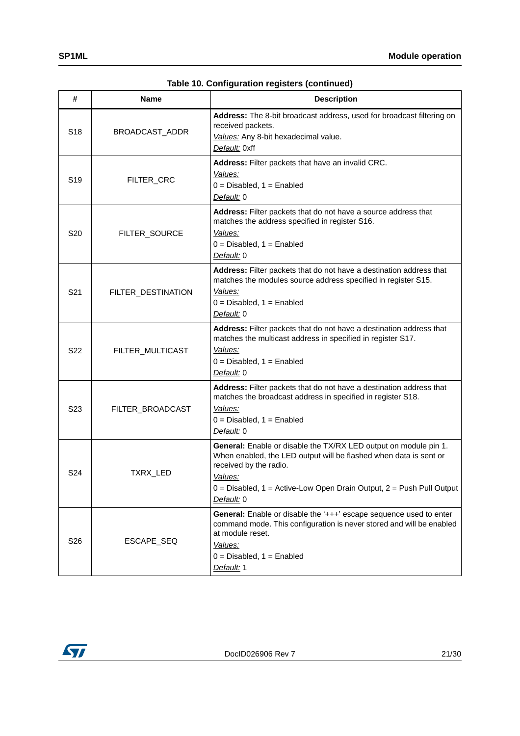| #               | Name               | <b>Description</b>                                                                                                                                                                                                                                                   |
|-----------------|--------------------|----------------------------------------------------------------------------------------------------------------------------------------------------------------------------------------------------------------------------------------------------------------------|
| S <sub>18</sub> | BROADCAST_ADDR     | Address: The 8-bit broadcast address, used for broadcast filtering on<br>received packets.<br>Values: Any 8-bit hexadecimal value.<br>Default: 0xff                                                                                                                  |
| S <sub>19</sub> | FILTER_CRC         | Address: Filter packets that have an invalid CRC.<br>Values:<br>$0 = Disabeled$ , $1 = Enabled$<br>Default: 0                                                                                                                                                        |
| S20             | FILTER_SOURCE      | Address: Filter packets that do not have a source address that<br>matches the address specified in register S16.<br>Values:<br>$0 = Disabeled$ , 1 = Enabled<br>Default: 0                                                                                           |
| S <sub>21</sub> | FILTER_DESTINATION | Address: Filter packets that do not have a destination address that<br>matches the modules source address specified in register S15.<br>Values:<br>$0 = Disabled$ , $1 = Enabled$<br>Default: 0                                                                      |
| S <sub>22</sub> | FILTER_MULTICAST   | Address: Filter packets that do not have a destination address that<br>matches the multicast address in specified in register S17.<br>Values:<br>$0 = Disabeled$ , $1 = Enabled$<br>Default: 0                                                                       |
| S <sub>23</sub> | FILTER_BROADCAST   | Address: Filter packets that do not have a destination address that<br>matches the broadcast address in specified in register S18.<br>Values:<br>$0 = Disabeled$ , $1 = Enabled$<br>Default: 0                                                                       |
| S <sub>24</sub> | TXRX_LED           | General: Enable or disable the TX/RX LED output on module pin 1.<br>When enabled, the LED output will be flashed when data is sent or<br>received by the radio.<br>Values:<br>$0 = Disabeled$ , 1 = Active-Low Open Drain Output, 2 = Push Pull Output<br>Default: 0 |
| S <sub>26</sub> | ESCAPE_SEQ         | General: Enable or disable the '+++' escape sequence used to enter<br>command mode. This configuration is never stored and will be enabled<br>at module reset.<br>Values:<br>$0 = Disabeled$ , $1 = Enabled$<br>Default: 1                                           |

**Table 10. Configuration registers (continued)**

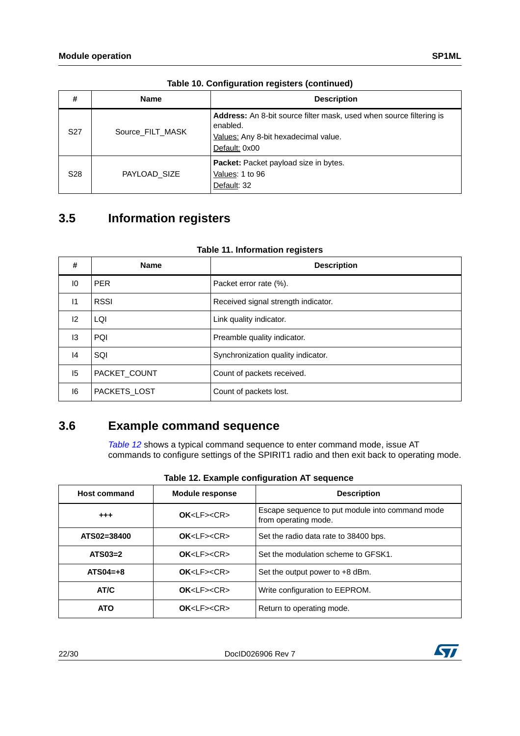| #               | <b>Name</b>      | <b>Description</b>                                                                                                                       |
|-----------------|------------------|------------------------------------------------------------------------------------------------------------------------------------------|
| S <sub>27</sub> | Source FILT MASK | Address: An 8-bit source filter mask, used when source filtering is<br>enabled.<br>Values: Any 8-bit hexadecimal value.<br>Default: 0x00 |
| S <sub>28</sub> | PAYLOAD SIZE     | Packet: Packet payload size in bytes.<br>Values: 1 to 96<br>Default: 32                                                                  |

**Table 10. Configuration registers (continued)**

## <span id="page-21-0"></span>**3.5 Information registers**

<span id="page-21-2"></span>

| #             | <b>Name</b>  | <b>Description</b>                  |
|---------------|--------------|-------------------------------------|
| 10            | <b>PER</b>   | Packet error rate (%).              |
| $\mathsf{I}$  | <b>RSSI</b>  | Received signal strength indicator. |
| 12            | LQI          | Link quality indicator.             |
| 13            | <b>PQI</b>   | Preamble quality indicator.         |
| $\mathsf{I}4$ | SQI          | Synchronization quality indicator.  |
| 15            | PACKET COUNT | Count of packets received.          |
| 16            | PACKETS_LOST | Count of packets lost.              |

#### **Table 11. Information registers**

#### <span id="page-21-1"></span>**3.6 Example command sequence**

[Table 12](#page-21-3) shows a typical command sequence to enter command mode, issue AT commands to configure settings of the SPIRIT1 radio and then exit back to operating mode.

<span id="page-21-3"></span>

| <b>Host command</b>          | <b>Module response</b>   | <b>Description</b>                                                      |  |
|------------------------------|--------------------------|-------------------------------------------------------------------------|--|
| $^{+++}$                     | $OK < l$ $F > < C$ R $>$ | Escape sequence to put module into command mode<br>from operating mode. |  |
| ATS02=38400                  | OK < LF > < CR           | Set the radio data rate to 38400 bps.                                   |  |
| $ATS03=2$                    | OK < LF > < CR           | Set the modulation scheme to GFSK1.                                     |  |
| $ATSO4=+8$                   | $OK < l$ $F > < C$ R $>$ | Set the output power to +8 dBm.                                         |  |
| AT/C                         | $OK < l$ $F > < C$ R $>$ | Write configuration to EEPROM.                                          |  |
| OK < LF > < CR<br><b>ATO</b> |                          | Return to operating mode.                                               |  |

|  | Table 12. Example configuration AT sequence |  |
|--|---------------------------------------------|--|
|  |                                             |  |

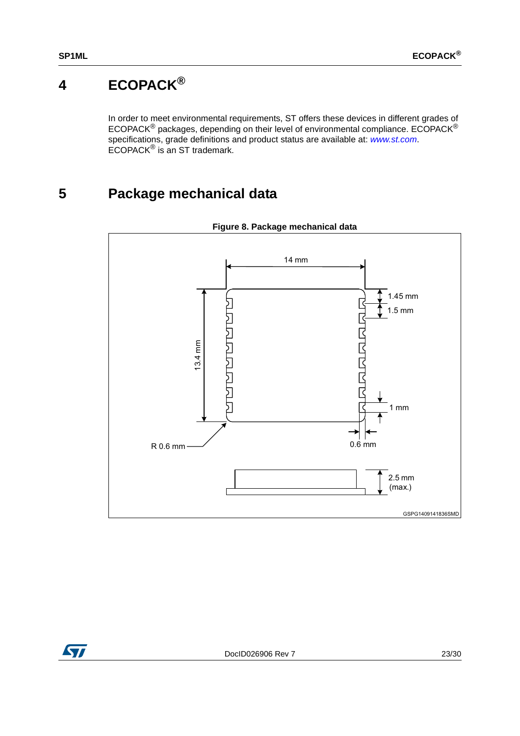# <span id="page-22-0"></span>**4 ECOPACK®**

In order to meet environmental requirements, ST offers these devices in different grades of ECOPACK<sup>®</sup> packages, depending on their level of environmental compliance. ECOPACK<sup>®</sup> specifications, grade definitions and product status are available at: [www.st.com](http://www.st.com). ECOPACK® is an ST trademark.

# <span id="page-22-1"></span>**5 Package mechanical data**

<span id="page-22-2"></span>

**Figure 8. Package mechanical data**

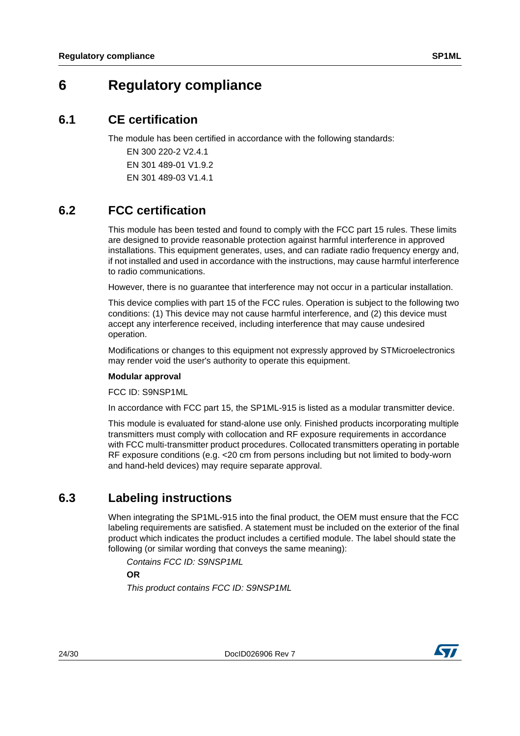## <span id="page-23-0"></span>**6 Regulatory compliance**

#### <span id="page-23-1"></span>**6.1 CE certification**

The module has been certified in accordance with the following standards:

EN 300 220-2 V2.4.1 EN 301 489-01 V1.9.2 EN 301 489-03 V1.4.1

#### <span id="page-23-2"></span>**6.2 FCC certification**

This module has been tested and found to comply with the FCC part 15 rules. These limits are designed to provide reasonable protection against harmful interference in approved installations. This equipment generates, uses, and can radiate radio frequency energy and, if not installed and used in accordance with the instructions, may cause harmful interference to radio communications.

However, there is no guarantee that interference may not occur in a particular installation.

This device complies with part 15 of the FCC rules. Operation is subject to the following two conditions: (1) This device may not cause harmful interference, and (2) this device must accept any interference received, including interference that may cause undesired operation.

Modifications or changes to this equipment not expressly approved by STMicroelectronics may render void the user's authority to operate this equipment.

#### **Modular approval**

FCC ID: S9NSP1ML

In accordance with FCC part 15, the SP1ML-915 is listed as a modular transmitter device.

This module is evaluated for stand-alone use only. Finished products incorporating multiple transmitters must comply with collocation and RF exposure requirements in accordance with FCC multi-transmitter product procedures. Collocated transmitters operating in portable RF exposure conditions (e.g. <20 cm from persons including but not limited to body-worn and hand-held devices) may require separate approval.

## <span id="page-23-3"></span>**6.3 Labeling instructions**

When integrating the SP1ML-915 into the final product, the OEM must ensure that the FCC labeling requirements are satisfied. A statement must be included on the exterior of the final product which indicates the product includes a certified module. The label should state the following (or similar wording that conveys the same meaning):

Contains FCC ID: S9NSP1ML

**OR**

This product contains FCC ID: S9NSP1ML



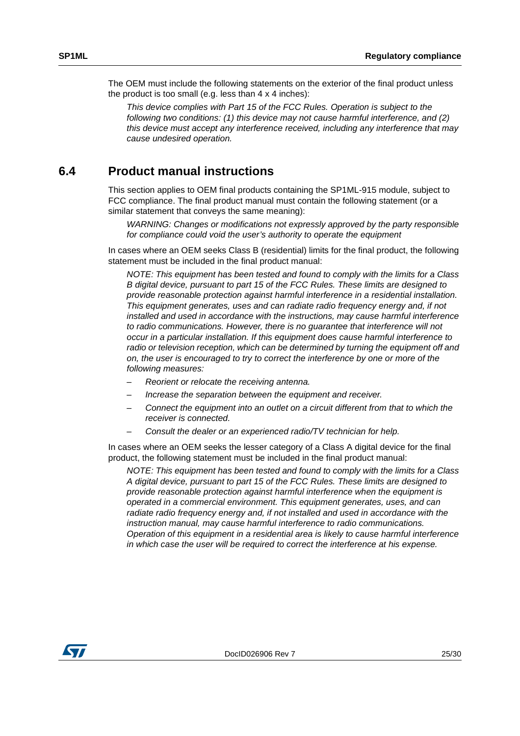The OEM must include the following statements on the exterior of the final product unless the product is too small (e.g. less than  $4 \times 4$  inches):

This device complies with Part 15 of the FCC Rules. Operation is subject to the following two conditions: (1) this device may not cause harmful interference, and (2) this device must accept any interference received, including any interference that may cause undesired operation.

#### <span id="page-24-0"></span>**6.4 Product manual instructions**

This section applies to OEM final products containing the SP1ML-915 module, subject to FCC compliance. The final product manual must contain the following statement (or a similar statement that conveys the same meaning):

WARNING: Changes or modifications not expressly approved by the party responsible for compliance could void the user's authority to operate the equipment

In cases where an OEM seeks Class B (residential) limits for the final product, the following statement must be included in the final product manual:

NOTE: This equipment has been tested and found to comply with the limits for a Class B digital device, pursuant to part 15 of the FCC Rules. These limits are designed to provide reasonable protection against harmful interference in a residential installation. This equipment generates, uses and can radiate radio frequency energy and, if not installed and used in accordance with the instructions, may cause harmful interference to radio communications. However, there is no guarantee that interference will not occur in a particular installation. If this equipment does cause harmful interference to radio or television reception, which can be determined by turning the equipment off and on, the user is encouraged to try to correct the interference by one or more of the following measures:

- Reorient or relocate the receiving antenna.
- Increase the separation between the equipment and receiver.
- Connect the equipment into an outlet on a circuit different from that to which the receiver is connected.
- Consult the dealer or an experienced radio/TV technician for help.

In cases where an OEM seeks the lesser category of a Class A digital device for the final product, the following statement must be included in the final product manual:

NOTE: This equipment has been tested and found to comply with the limits for a Class A digital device, pursuant to part 15 of the FCC Rules. These limits are designed to provide reasonable protection against harmful interference when the equipment is operated in a commercial environment. This equipment generates, uses, and can radiate radio frequency energy and, if not installed and used in accordance with the instruction manual, may cause harmful interference to radio communications. Operation of this equipment in a residential area is likely to cause harmful interference in which case the user will be required to correct the interference at his expense.

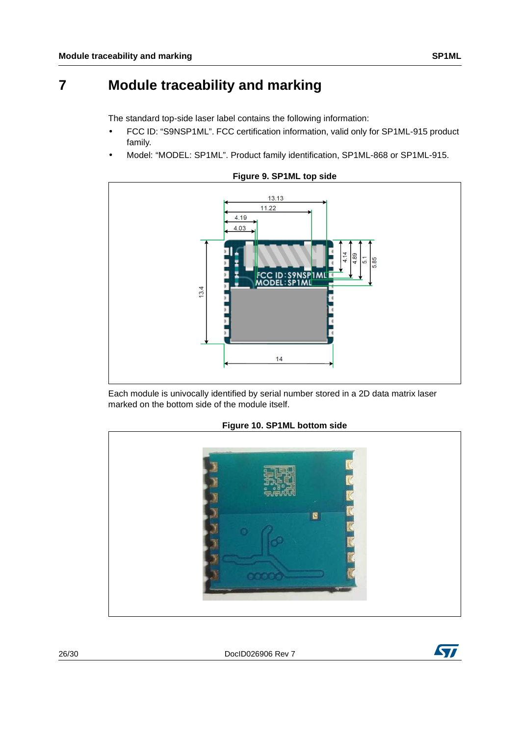## <span id="page-25-0"></span>**7 Module traceability and marking**

The standard top-side laser label contains the following information:

- FCC ID: "S9NSP1ML". FCC certification information, valid only for SP1ML-915 product family.
- Model: "MODEL: SP1ML". Product family identification, SP1ML-868 or SP1ML-915.

<span id="page-25-1"></span>

**Figure 9. SP1ML top side**

Each module is univocally identified by serial number stored in a 2D data matrix laser marked on the bottom side of the module itself.

<span id="page-25-2"></span>

#### **Figure 10. SP1ML bottom side**

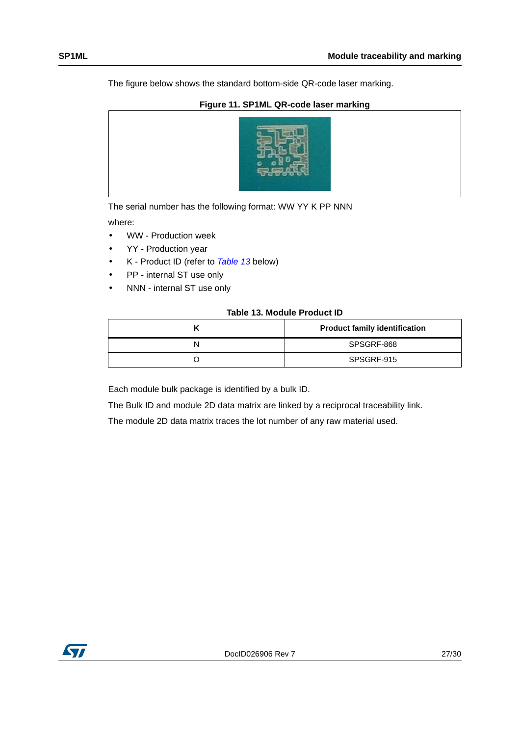The figure below shows the standard bottom-side QR-code laser marking.

#### **Figure 11. SP1ML QR-code laser marking**

<span id="page-26-1"></span>

The serial number has the following format: WW YY K PP NNN

where:

- WW Production week
- YY Production year
- K Product ID (refer to [Table 13](#page-26-0) below)
- PP internal ST use only
- NNN internal ST use only

#### **Table 13. Module Product ID**

<span id="page-26-0"></span>

| <b>Product family identification</b> |
|--------------------------------------|
| SPSGRF-868                           |
| SPSGRF-915                           |

Each module bulk package is identified by a bulk ID.

The Bulk ID and module 2D data matrix are linked by a reciprocal traceability link.

The module 2D data matrix traces the lot number of any raw material used.

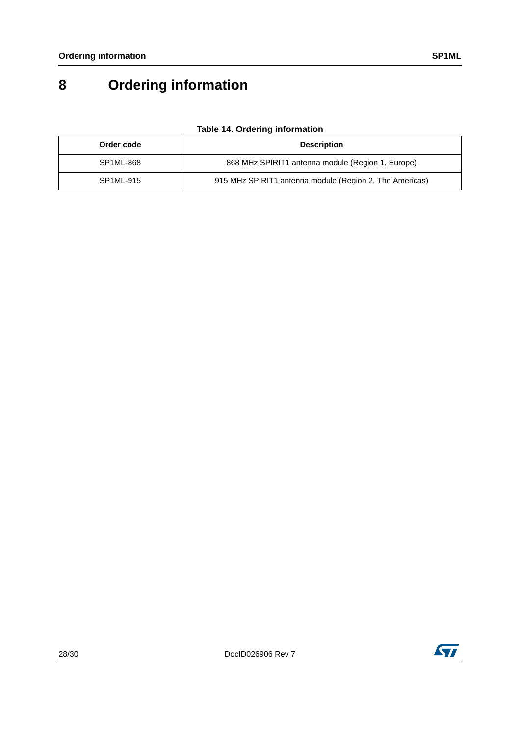# <span id="page-27-0"></span>**8 Ordering information**

<span id="page-27-1"></span>

| Order code | <b>Description</b>                                      |
|------------|---------------------------------------------------------|
| SP1ML-868  | 868 MHz SPIRIT1 antenna module (Region 1, Europe)       |
| SP1ML-915  | 915 MHz SPIRIT1 antenna module (Region 2, The Americas) |

#### **Table 14. Ordering information**

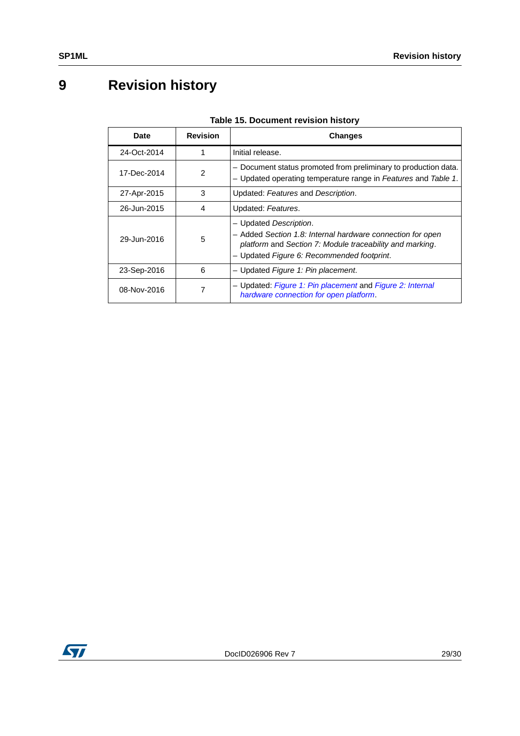# <span id="page-28-0"></span>**9 Revision history**

<span id="page-28-1"></span>

| <b>Date</b> | <b>Revision</b> | <b>Changes</b>                                                                                                                                                                                 |
|-------------|-----------------|------------------------------------------------------------------------------------------------------------------------------------------------------------------------------------------------|
| 24-Oct-2014 |                 | Initial release.                                                                                                                                                                               |
| 17-Dec-2014 | $\mathfrak{p}$  | - Document status promoted from preliminary to production data.<br>- Updated operating temperature range in Features and Table 1.                                                              |
| 27-Apr-2015 | 3               | Updated: Features and Description.                                                                                                                                                             |
| 26-Jun-2015 | 4               | Updated: Features.                                                                                                                                                                             |
| 29-Jun-2016 | 5               | - Updated Description.<br>- Added Section 1.8: Internal hardware connection for open<br>platform and Section 7: Module traceability and marking.<br>- Updated Figure 6: Recommended footprint. |
| 23-Sep-2016 | 6               | - Updated Figure 1: Pin placement.                                                                                                                                                             |
| 08-Nov-2016 |                 | - Updated: Figure 1: Pin placement and Figure 2: Internal<br>hardware connection for open platform.                                                                                            |

#### **Table 15. Document revision history**